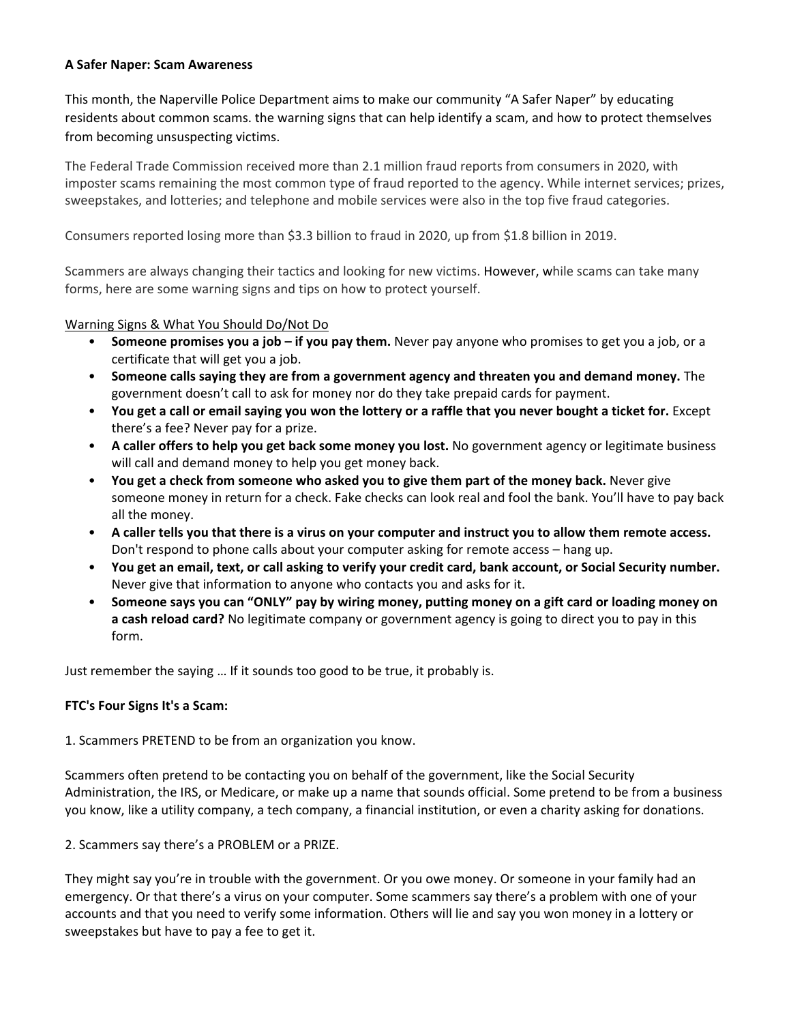#### **A Safer Naper: Scam Awareness**

This month, the Naperville Police Department aims to make our community "A Safer Naper" by educating residents about common scams. the warning signs that can help identify a scam, and how to protect themselves from becoming unsuspecting victims.

The Federal Trade Commission received more than 2.1 million fraud reports from consumers in 2020, with imposter scams remaining the most common type of fraud reported to the agency. While internet services; prizes, sweepstakes, and lotteries; and telephone and mobile services were also in the top five fraud categories.

Consumers reported losing more than \$3.3 billion to fraud in 2020, up from \$1.8 billion in 2019.

Scammers are always changing their tactics and looking for new victims. However, while scams can take many forms, here are some warning signs and tips on how to protect yourself.

## Warning Signs & What You Should Do/Not Do

- **Someone promises you a job – if you pay them.** Never pay anyone who promises to get you a job, or a certificate that will get you a job.
- **Someone calls saying they are from a government agency and threaten you and demand money.** The government doesn't call to ask for money nor do they take prepaid cards for payment.
- You get a call or email saying you won the lottery or a raffle that you never bought a ticket for. Except there's a fee? Never pay for a prize.
- **A caller offers to help you get back some money you lost.** No government agency or legitimate business will call and demand money to help you get money back.
- **You get a check from someone who asked you to give them part of the money back.** Never give someone money in return for a check. Fake checks can look real and fool the bank. You'll have to pay back all the money.
- A caller tells you that there is a virus on your computer and instruct you to allow them remote access. Don't respond to phone calls about your computer asking for remote access – hang up.
- . You get an email, text, or call asking to verify your credit card, bank account, or Social Security number. Never give that information to anyone who contacts you and asks for it.
- Someone says you can "ONLY" pay by wiring money, putting money on a gift card or loading money on **a cash reload card?** No legitimate company or government agency is going to direct you to pay in this form.

Just remember the saying … If it sounds too good to be true, it probably is.

# **FTC's Four Signs It's a Scam:**

1. Scammers PRETEND to be from an organization you know.

Scammers often pretend to be contacting you on behalf of the government, like the Social Security Administration, the IRS, or Medicare, or make up a name that sounds official. Some pretend to be from a business you know, like a utility company, a tech company, a financial institution, or even a charity asking for donations.

2. Scammers say there's a PROBLEM or a PRIZE.

They might say you're in trouble with the government. Or you owe money. Or someone in your family had an emergency. Or that there's a virus on your computer. Some scammers say there's a problem with one of your accounts and that you need to verify some information. Others will lie and say you won money in a lottery or sweepstakes but have to pay a fee to get it.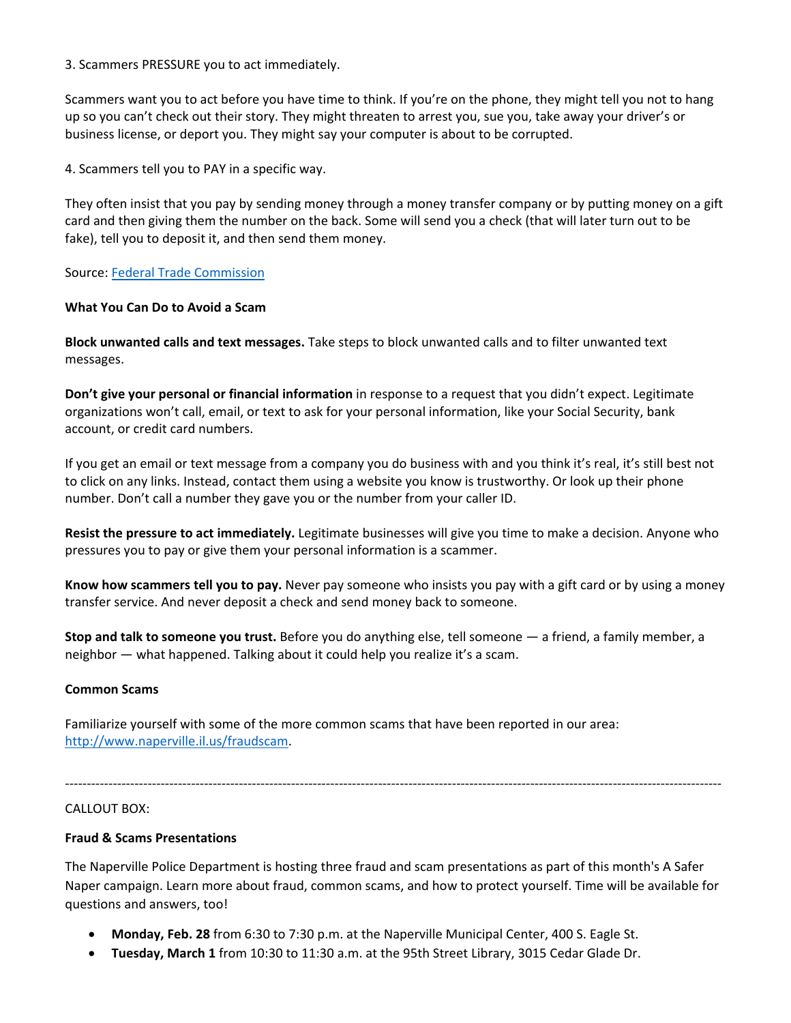3. Scammers PRESSURE you to act immediately.

Scammers want you to act before you have time to think. If you're on the phone, they might tell you not to hang up so you can't check out their story. They might threaten to arrest you, sue you, take away your driver's or business license, or deport you. They might say your computer is about to be corrupted.

4. Scammers tell you to PAY in a specific way.

They often insist that you pay by sending money through a money transfer company or by putting money on a gift card and then giving them the number on the back. Some will send you a check (that will later turn out to be fake), tell you to deposit it, and then send them money.

Source: Federal Trade Commission

### **What You Can Do to Avoid a Scam**

**Block unwanted calls and text messages.** Take steps to block unwanted calls and to filter unwanted text messages.

**Don't give your personal or financial information** in response to a request that you didn't expect. Legitimate organizations won't call, email, or text to ask for your personal information, like your Social Security, bank account, or credit card numbers.

If you get an email or text message from a company you do business with and you think it's real, it's still best not to click on any links. Instead, contact them using a website you know is trustworthy. Or look up their phone number. Don't call a number they gave you or the number from your caller ID.

**Resist the pressure to act immediately.** Legitimate businesses will give you time to make a decision. Anyone who pressures you to pay or give them your personal information is a scammer.

**Know how scammers tell you to pay.** Never pay someone who insists you pay with a gift card or by using a money transfer service. And never deposit a check and send money back to someone.

**Stop and talk to someone you trust.** Before you do anything else, tell someone — a friend, a family member, a neighbor — what happened. Talking about it could help you realize it's a scam.

### **Common Scams**

Familiarize yourself with some of the more common scams that have been reported in our area: http://www.naperville.il.us/fraudscam.

#### CALLOUT BOX:

### **Fraud & Scams Presentations**

The Naperville Police Department is hosting three fraud and scam presentations as part of this month's A Safer Naper campaign. Learn more about fraud, common scams, and how to protect yourself. Time will be available for questions and answers, too!

‐‐‐‐‐‐‐‐‐‐‐‐‐‐‐‐‐‐‐‐‐‐‐‐‐‐‐‐‐‐‐‐‐‐‐‐‐‐‐‐‐‐‐‐‐‐‐‐‐‐‐‐‐‐‐‐‐‐‐‐‐‐‐‐‐‐‐‐‐‐‐‐‐‐‐‐‐‐‐‐‐‐‐‐‐‐‐‐‐‐‐‐‐‐‐‐‐‐‐‐‐‐‐‐‐‐‐‐‐‐‐‐‐‐‐‐‐‐‐‐‐‐‐‐‐‐‐‐‐‐‐‐‐‐‐‐‐‐‐‐‐‐‐‐‐‐‐‐‐‐‐

- **Monday, Feb. 28** from 6:30 to 7:30 p.m. at the Naperville Municipal Center, 400 S. Eagle St.
- **Tuesday, March 1** from 10:30 to 11:30 a.m. at the 95th Street Library, 3015 Cedar Glade Dr.